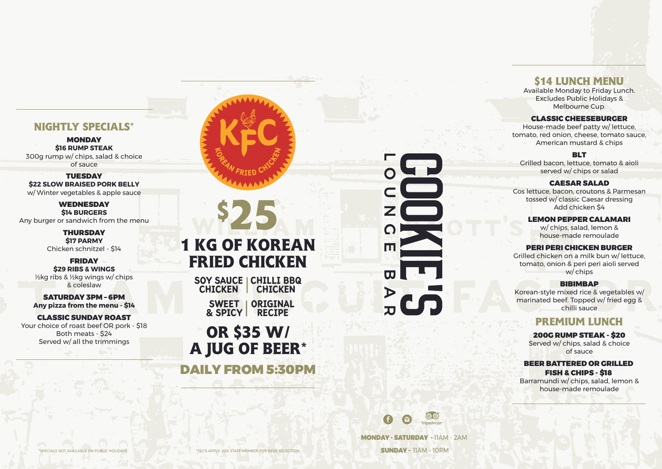MONDAY - SATURDAY - 11AM - 2AM SUNDAY - 11AM - 10PM

SOY SAUCE | CHILLI BBQ CHICKEN CHICKEN

# **1 KG OF KOREAN FRIED CHICKEN**

SWEET | & SPICY RECIPE ORIGINAL

**OR \$35 W/ A JUG OF BEER\***

**\$25**

**MONDAY \$16 RUMP STEAK** 300g rump w/ chips, salad & choice of sauce

**TUESDAY \$22 SLOW BRAISED PORK BELLY** w/ Winter vegetables & apple sauce

**WEDNESDAY \$14 BURGERS** Any burger or sandwich from the menu

DAILY FROM 5:30PM

# $\bullet$ п  $\triangleright$



# **NIGHTLY SPECIALS\***

**FRIDAY \$29 RIBS & WINGS** ½kg ribs & ½kg wings w/ chips & coleslaw

THURSDAY **\$17 PARMY** Chicken schnitzel - \$14

SATURDAY 3PM – 6PM **Any pizza from the menu - \$14**

CLASSIC SUNDAY ROAST Your choice of roast beef OR pork - \$18 Both meats - \$24 Served w/ all the trimmings



# **\$14 LUNCH MENU**

Available Monday to Friday Lunch. Excludes Public Holidays & Melbourne Cup.

#### CLASSIC CHEESEBURGER

House-made beef patty w/ lettuce, tomato, red onion, cheese, tomato sauce, American mustard & chips

#### **BLT**

Grilled bacon, lettuce, tomato & aioli served w/ chips or salad

#### CAESAR SALAD

Cos lettuce, bacon, croutons & Parmesan tossed w/ classic Caesar dressing Add chicken \$4

#### LEMON PEPPER CALAMARI

w/ chips, salad, lemon & house-made remoulade

#### PERI PERI CHICKEN BURGER

Grilled chicken on a milk bun w/ lettuce, tomato, onion & peri peri aioli served w/ chips

#### BIBIMBAP

Korean-style mixed rice & vegetables w/ marinated beef. Topped w/ fried egg & chilli sauce

# **PREMIUM LUNCH**

#### 200G RUMP STEAK - \$20

Served w/ chips, salad & choice of sauce

#### BEER BATTERED OR GRILLED FISH & CHIPS - \$18

Barramundi w/ chips, salad, lemon & house-made remoulade